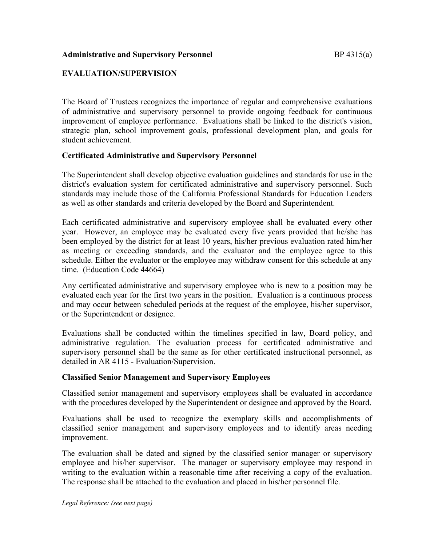### **Administrative and Supervisory Personnel EXALL EXAMPLE BETTER IN BY 4315(a)**

# **EVALUATION/SUPERVISION**

The Board of Trustees recognizes the importance of regular and comprehensive evaluations of administrative and supervisory personnel to provide ongoing feedback for continuous improvement of employee performance. Evaluations shall be linked to the district's vision, strategic plan, school improvement goals, professional development plan, and goals for student achievement.

### **Certificated Administrative and Supervisory Personnel**

The Superintendent shall develop objective evaluation guidelines and standards for use in the district's evaluation system for certificated administrative and supervisory personnel. Such standards may include those of the California Professional Standards for Education Leaders as well as other standards and criteria developed by the Board and Superintendent.

Each certificated administrative and supervisory employee shall be evaluated every other year. However, an employee may be evaluated every five years provided that he/she has been employed by the district for at least 10 years, his/her previous evaluation rated him/her as meeting or exceeding standards, and the evaluator and the employee agree to this schedule. Either the evaluator or the employee may withdraw consent for this schedule at any time. (Education Code 44664)

Any certificated administrative and supervisory employee who is new to a position may be evaluated each year for the first two years in the position. Evaluation is a continuous process and may occur between scheduled periods at the request of the employee, his/her supervisor, or the Superintendent or designee.

Evaluations shall be conducted within the timelines specified in law, Board policy, and administrative regulation. The evaluation process for certificated administrative and supervisory personnel shall be the same as for other certificated instructional personnel, as detailed in AR 4115 - Evaluation/Supervision.

### **Classified Senior Management and Supervisory Employees**

Classified senior management and supervisory employees shall be evaluated in accordance with the procedures developed by the Superintendent or designee and approved by the Board.

Evaluations shall be used to recognize the exemplary skills and accomplishments of classified senior management and supervisory employees and to identify areas needing improvement.

The evaluation shall be dated and signed by the classified senior manager or supervisory employee and his/her supervisor. The manager or supervisory employee may respond in writing to the evaluation within a reasonable time after receiving a copy of the evaluation. The response shall be attached to the evaluation and placed in his/her personnel file.